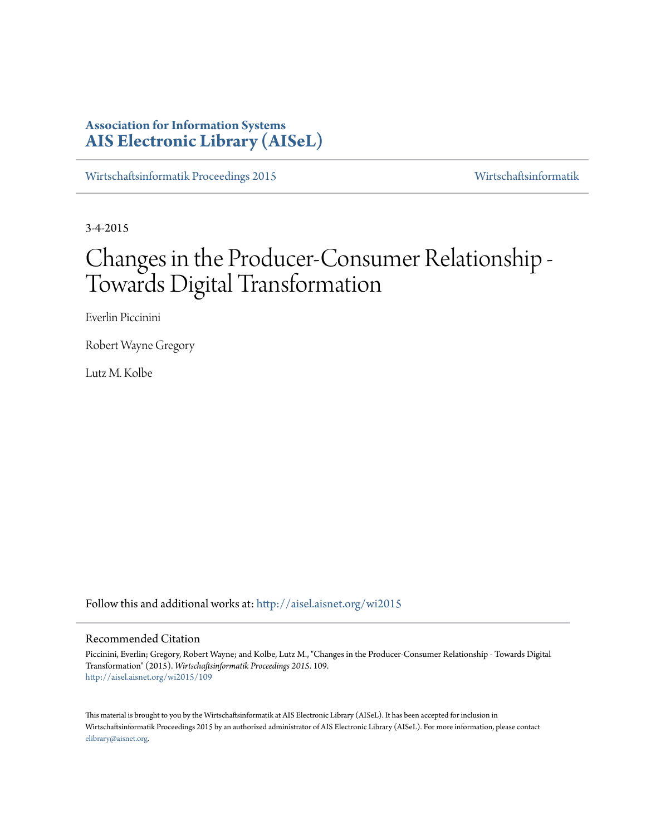## **Association for Information Systems [AIS Electronic Library \(AISeL\)](http://aisel.aisnet.org?utm_source=aisel.aisnet.org%2Fwi2015%2F109&utm_medium=PDF&utm_campaign=PDFCoverPages)**

[Wirtschaftsinformatik Proceedings 2015](http://aisel.aisnet.org/wi2015?utm_source=aisel.aisnet.org%2Fwi2015%2F109&utm_medium=PDF&utm_campaign=PDFCoverPages) [Wirtschaftsinformatik](http://aisel.aisnet.org/wi?utm_source=aisel.aisnet.org%2Fwi2015%2F109&utm_medium=PDF&utm_campaign=PDFCoverPages)

3-4-2015

# Changes in the Producer-Consumer Relationship - Towards Digital Transformation

Everlin Piccinini

Robert Wayne Gregory

Lutz M. Kolbe

Follow this and additional works at: [http://aisel.aisnet.org/wi2015](http://aisel.aisnet.org/wi2015?utm_source=aisel.aisnet.org%2Fwi2015%2F109&utm_medium=PDF&utm_campaign=PDFCoverPages)

#### Recommended Citation

Piccinini, Everlin; Gregory, Robert Wayne; and Kolbe, Lutz M., "Changes in the Producer-Consumer Relationship - Towards Digital Transformation" (2015). *Wirtschaftsinformatik Proceedings 2015*. 109. [http://aisel.aisnet.org/wi2015/109](http://aisel.aisnet.org/wi2015/109?utm_source=aisel.aisnet.org%2Fwi2015%2F109&utm_medium=PDF&utm_campaign=PDFCoverPages)

This material is brought to you by the Wirtschaftsinformatik at AIS Electronic Library (AISeL). It has been accepted for inclusion in Wirtschaftsinformatik Proceedings 2015 by an authorized administrator of AIS Electronic Library (AISeL). For more information, please contact [elibrary@aisnet.org.](mailto:elibrary@aisnet.org%3E)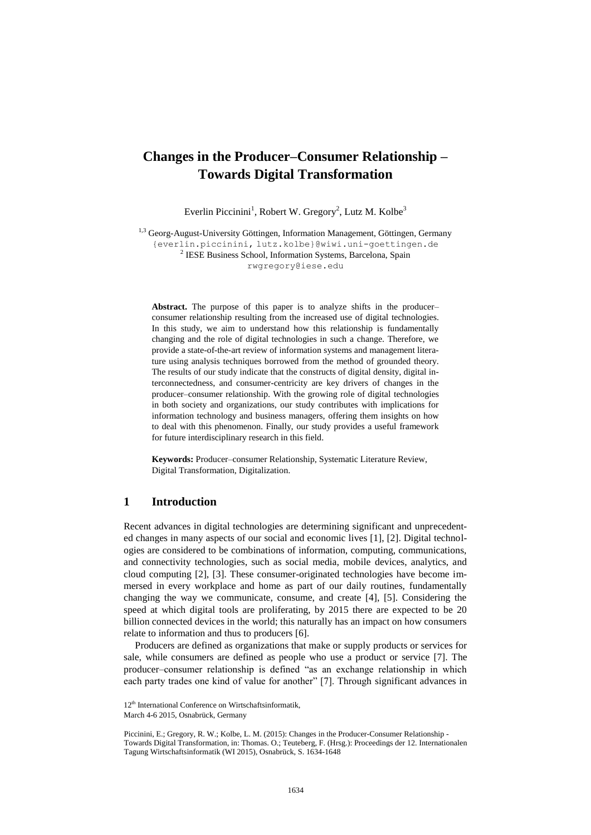## **Changes in the Producer–Consumer Relationship – Towards Digital Transformation**

Everlin Piccinini<sup>1</sup>, Robert W. Gregory<sup>2</sup>, Lutz M. Kolbe<sup>3</sup>

<sup>1,3</sup> Georg-August-University Göttingen, Information Management, Göttingen, Germany {everlin.piccinini, lutz.kolbe}@wiwi.uni-goettingen.de <sup>2</sup> IESE Business School, Information Systems, Barcelona, Spain rwgregory@iese.edu

**Abstract.** The purpose of this paper is to analyze shifts in the producer– consumer relationship resulting from the increased use of digital technologies. In this study, we aim to understand how this relationship is fundamentally changing and the role of digital technologies in such a change. Therefore, we provide a state-of-the-art review of information systems and management literature using analysis techniques borrowed from the method of grounded theory. The results of our study indicate that the constructs of digital density, digital interconnectedness, and consumer-centricity are key drivers of changes in the producer–consumer relationship. With the growing role of digital technologies in both society and organizations, our study contributes with implications for information technology and business managers, offering them insights on how to deal with this phenomenon. Finally, our study provides a useful framework for future interdisciplinary research in this field.

**Keywords:** Producer–consumer Relationship, Systematic Literature Review, Digital Transformation, Digitalization.

#### **1 Introduction**

Recent advances in digital technologies are determining significant and unprecedented changes in many aspects of our social and economic lives [1], [2]. Digital technologies are considered to be combinations of information, computing, communications, and connectivity technologies, such as social media, mobile devices, analytics, and cloud computing [2], [3]. These consumer-originated technologies have become immersed in every workplace and home as part of our daily routines, fundamentally changing the way we communicate, consume, and create [4], [5]. Considering the speed at which digital tools are proliferating, by 2015 there are expected to be 20 billion connected devices in the world; this naturally has an impact on how consumers relate to information and thus to producers [6].

Producers are defined as organizations that make or supply products or services for sale, while consumers are defined as people who use a product or service [7]. The producer–consumer relationship is defined "as an exchange relationship in which each party trades one kind of value for another" [7]. Through significant advances in

<sup>12&</sup>lt;sup>th</sup> International Conference on Wirtschaftsinformatik,

March 4-6 2015, Osnabrück, Germany

Piccinini, E.; Gregory, R. W.; Kolbe, L. M. (2015): Changes in the Producer-Consumer Relationship - Towards Digital Transformation, in: Thomas. O.; Teuteberg, F. (Hrsg.): Proceedings der 12. Internationalen Tagung Wirtschaftsinformatik (WI 2015), Osnabrück, S. 1634-1648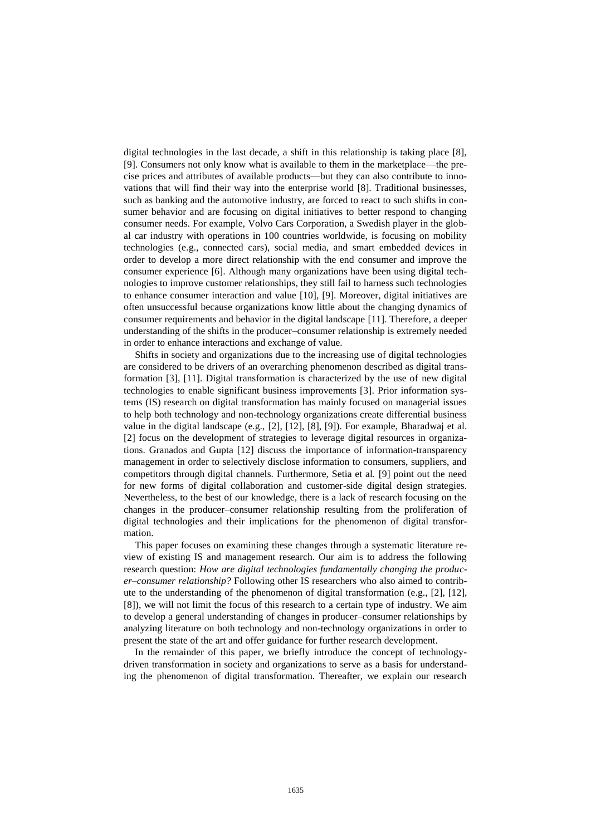digital technologies in the last decade, a shift in this relationship is taking place [8], [9]. Consumers not only know what is available to them in the marketplace—the precise prices and attributes of available products—but they can also contribute to innovations that will find their way into the enterprise world [8]. Traditional businesses, such as banking and the automotive industry, are forced to react to such shifts in consumer behavior and are focusing on digital initiatives to better respond to changing consumer needs. For example, Volvo Cars Corporation, a Swedish player in the global car industry with operations in 100 countries worldwide, is focusing on mobility technologies (e.g., connected cars), social media, and smart embedded devices in order to develop a more direct relationship with the end consumer and improve the consumer experience [6]. Although many organizations have been using digital technologies to improve customer relationships, they still fail to harness such technologies to enhance consumer interaction and value [10], [9]. Moreover, digital initiatives are often unsuccessful because organizations know little about the changing dynamics of consumer requirements and behavior in the digital landscape [11]. Therefore, a deeper understanding of the shifts in the producer–consumer relationship is extremely needed in order to enhance interactions and exchange of value.

Shifts in society and organizations due to the increasing use of digital technologies are considered to be drivers of an overarching phenomenon described as digital transformation [3], [11]. Digital transformation is characterized by the use of new digital technologies to enable significant business improvements [3]. Prior information systems (IS) research on digital transformation has mainly focused on managerial issues to help both technology and non-technology organizations create differential business value in the digital landscape (e.g., [2], [12], [8], [9]). For example, Bharadwaj et al. [2] focus on the development of strategies to leverage digital resources in organizations. Granados and Gupta [12] discuss the importance of information-transparency management in order to selectively disclose information to consumers, suppliers, and competitors through digital channels. Furthermore, Setia et al. [9] point out the need for new forms of digital collaboration and customer-side digital design strategies. Nevertheless, to the best of our knowledge, there is a lack of research focusing on the changes in the producer–consumer relationship resulting from the proliferation of digital technologies and their implications for the phenomenon of digital transformation.

This paper focuses on examining these changes through a systematic literature review of existing IS and management research. Our aim is to address the following research question: *How are digital technologies fundamentally changing the producer–consumer relationship?* Following other IS researchers who also aimed to contribute to the understanding of the phenomenon of digital transformation (e.g.,  $[2]$ ,  $[12]$ , [8]), we will not limit the focus of this research to a certain type of industry. We aim to develop a general understanding of changes in producer–consumer relationships by analyzing literature on both technology and non-technology organizations in order to present the state of the art and offer guidance for further research development.

In the remainder of this paper, we briefly introduce the concept of technologydriven transformation in society and organizations to serve as a basis for understanding the phenomenon of digital transformation. Thereafter, we explain our research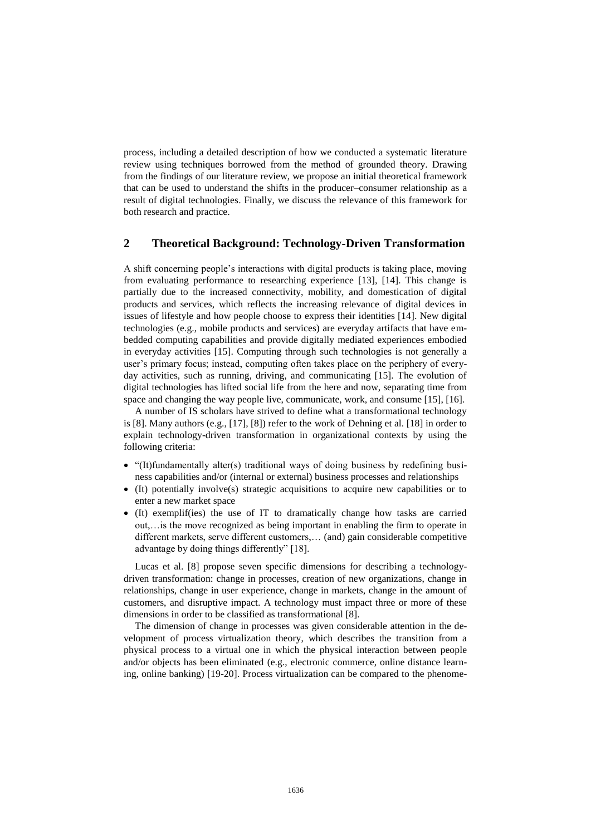process, including a detailed description of how we conducted a systematic literature review using techniques borrowed from the method of grounded theory. Drawing from the findings of our literature review, we propose an initial theoretical framework that can be used to understand the shifts in the producer–consumer relationship as a result of digital technologies. Finally, we discuss the relevance of this framework for both research and practice.

### **2 Theoretical Background: Technology-Driven Transformation**

A shift concerning people's interactions with digital products is taking place, moving from evaluating performance to researching experience [13], [14]. This change is partially due to the increased connectivity, mobility, and domestication of digital products and services, which reflects the increasing relevance of digital devices in issues of lifestyle and how people choose to express their identities [14]. New digital technologies (e.g., mobile products and services) are everyday artifacts that have embedded computing capabilities and provide digitally mediated experiences embodied in everyday activities [15]. Computing through such technologies is not generally a user's primary focus; instead, computing often takes place on the periphery of everyday activities, such as running, driving, and communicating [15]. The evolution of digital technologies has lifted social life from the here and now, separating time from space and changing the way people live, communicate, work, and consume [15], [16].

A number of IS scholars have strived to define what a transformational technology is [8]. Many authors (e.g., [17], [8]) refer to the work of Dehning et al. [18] in order to explain technology-driven transformation in organizational contexts by using the following criteria:

- "(It)fundamentally alter(s) traditional ways of doing business by redefining business capabilities and/or (internal or external) business processes and relationships
- (It) potentially involve(s) strategic acquisitions to acquire new capabilities or to enter a new market space
- (It) exemplif(ies) the use of IT to dramatically change how tasks are carried out,…is the move recognized as being important in enabling the firm to operate in different markets, serve different customers,… (and) gain considerable competitive advantage by doing things differently" [18].

Lucas et al. [8] propose seven specific dimensions for describing a technologydriven transformation: change in processes, creation of new organizations, change in relationships, change in user experience, change in markets, change in the amount of customers, and disruptive impact. A technology must impact three or more of these dimensions in order to be classified as transformational [8].

The dimension of change in processes was given considerable attention in the development of process virtualization theory, which describes the transition from a physical process to a virtual one in which the physical interaction between people and/or objects has been eliminated (e.g., electronic commerce, online distance learning, online banking) [19-20]. Process virtualization can be compared to the phenome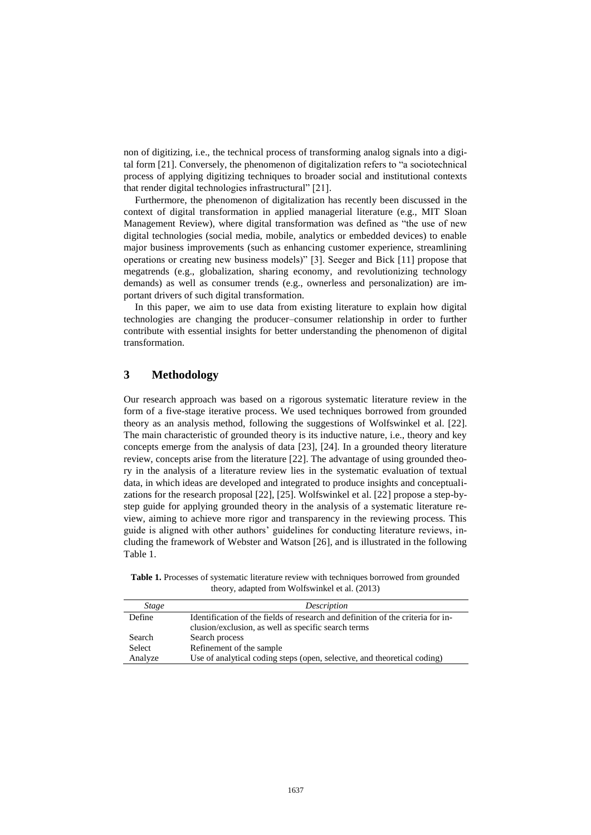non of digitizing, i.e., the technical process of transforming analog signals into a digital form [21]. Conversely, the phenomenon of digitalization refers to "a sociotechnical process of applying digitizing techniques to broader social and institutional contexts that render digital technologies infrastructural" [21].

Furthermore, the phenomenon of digitalization has recently been discussed in the context of digital transformation in applied managerial literature (e.g., MIT Sloan Management Review), where digital transformation was defined as "the use of new digital technologies (social media, mobile, analytics or embedded devices) to enable major business improvements (such as enhancing customer experience, streamlining operations or creating new business models)" [3]. Seeger and Bick [11] propose that megatrends (e.g., globalization, sharing economy, and revolutionizing technology demands) as well as consumer trends (e.g., ownerless and personalization) are important drivers of such digital transformation.

In this paper, we aim to use data from existing literature to explain how digital technologies are changing the producer–consumer relationship in order to further contribute with essential insights for better understanding the phenomenon of digital transformation.

### **3 Methodology**

Our research approach was based on a rigorous systematic literature review in the form of a five-stage iterative process. We used techniques borrowed from grounded theory as an analysis method, following the suggestions of Wolfswinkel et al. [22]. The main characteristic of grounded theory is its inductive nature, i.e., theory and key concepts emerge from the analysis of data [23], [24]. In a grounded theory literature review, concepts arise from the literature [22]. The advantage of using grounded theory in the analysis of a literature review lies in the systematic evaluation of textual data, in which ideas are developed and integrated to produce insights and conceptualizations for the research proposal [22], [25]. Wolfswinkel et al. [22] propose a step-bystep guide for applying grounded theory in the analysis of a systematic literature review, aiming to achieve more rigor and transparency in the reviewing process. This guide is aligned with other authors' guidelines for conducting literature reviews, including the framework of Webster and Watson [26], and is illustrated in the following Table 1.

**Table 1.** Processes of systematic literature review with techniques borrowed from grounded theory, adapted from Wolfswinkel et al. (2013)

| <b>Stage</b> | Description                                                                     |
|--------------|---------------------------------------------------------------------------------|
| Define       | Identification of the fields of research and definition of the criteria for in- |
|              | clusion/exclusion, as well as specific search terms                             |
| Search       | Search process                                                                  |
| Select       | Refinement of the sample                                                        |
| Analyze      | Use of analytical coding steps (open, selective, and theoretical coding)        |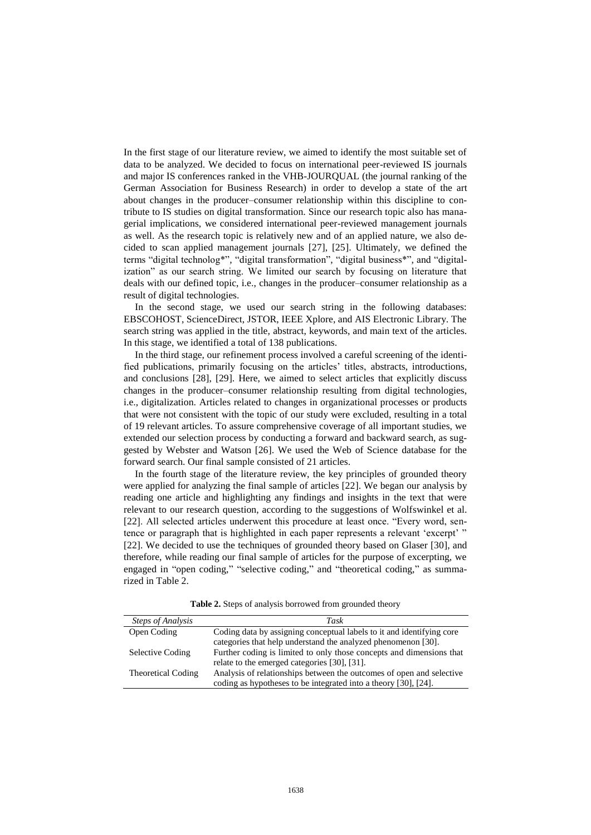In the first stage of our literature review, we aimed to identify the most suitable set of data to be analyzed. We decided to focus on international peer-reviewed IS journals and major IS conferences ranked in the VHB-JOURQUAL (the journal ranking of the German Association for Business Research) in order to develop a state of the art about changes in the producer–consumer relationship within this discipline to contribute to IS studies on digital transformation. Since our research topic also has managerial implications, we considered international peer-reviewed management journals as well. As the research topic is relatively new and of an applied nature, we also decided to scan applied management journals [27], [25]. Ultimately, we defined the terms "digital technolog\*", "digital transformation", "digital business\*", and "digitalization" as our search string. We limited our search by focusing on literature that deals with our defined topic, i.e., changes in the producer–consumer relationship as a result of digital technologies.

In the second stage, we used our search string in the following databases: EBSCOHOST, ScienceDirect, JSTOR, IEEE Xplore, and AIS Electronic Library. The search string was applied in the title, abstract, keywords, and main text of the articles. In this stage, we identified a total of 138 publications.

In the third stage, our refinement process involved a careful screening of the identified publications, primarily focusing on the articles' titles, abstracts, introductions, and conclusions [28], [29]. Here, we aimed to select articles that explicitly discuss changes in the producer–consumer relationship resulting from digital technologies, i.e., digitalization. Articles related to changes in organizational processes or products that were not consistent with the topic of our study were excluded, resulting in a total of 19 relevant articles. To assure comprehensive coverage of all important studies, we extended our selection process by conducting a forward and backward search, as suggested by Webster and Watson [26]. We used the Web of Science database for the forward search. Our final sample consisted of 21 articles.

In the fourth stage of the literature review, the key principles of grounded theory were applied for analyzing the final sample of articles [22]. We began our analysis by reading one article and highlighting any findings and insights in the text that were relevant to our research question, according to the suggestions of Wolfswinkel et al. [22]. All selected articles underwent this procedure at least once. "Every word, sentence or paragraph that is highlighted in each paper represents a relevant 'excerpt' " [22]. We decided to use the techniques of grounded theory based on Glaser [30], and therefore, while reading our final sample of articles for the purpose of excerpting, we engaged in "open coding," "selective coding," and "theoretical coding," as summarized in Table 2.

| Table 2. Steps of analysis borrowed from grounded theory |  |  |
|----------------------------------------------------------|--|--|
|----------------------------------------------------------|--|--|

| <b>Steps of Analysis</b> | Task                                                                  |
|--------------------------|-----------------------------------------------------------------------|
| Open Coding              | Coding data by assigning conceptual labels to it and identifying core |
|                          | categories that help understand the analyzed phenomenon [30].         |
| Selective Coding         | Further coding is limited to only those concepts and dimensions that  |
|                          | relate to the emerged categories [30], [31].                          |
| Theoretical Coding       | Analysis of relationships between the outcomes of open and selective  |
|                          | coding as hypotheses to be integrated into a theory [30], [24].       |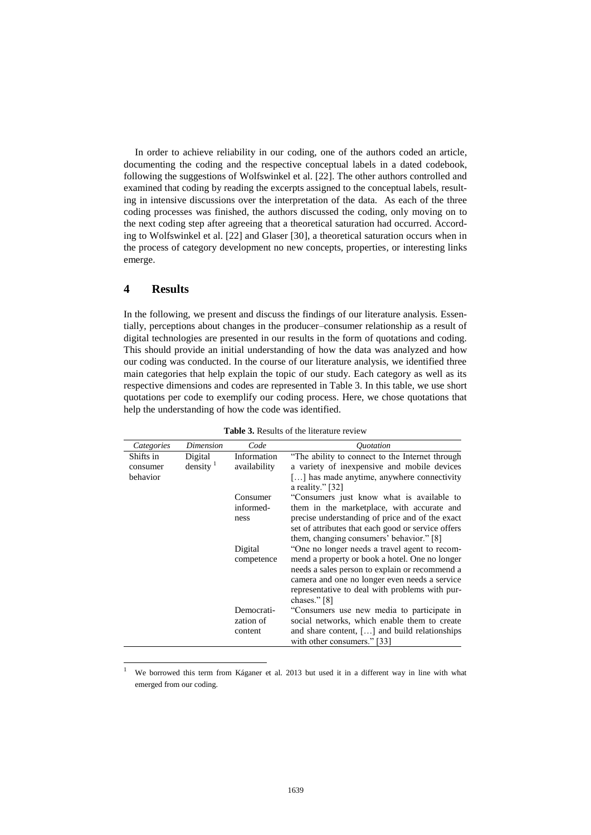In order to achieve reliability in our coding, one of the authors coded an article, documenting the coding and the respective conceptual labels in a dated codebook, following the suggestions of Wolfswinkel et al. [22]. The other authors controlled and examined that coding by reading the excerpts assigned to the conceptual labels, resulting in intensive discussions over the interpretation of the data. As each of the three coding processes was finished, the authors discussed the coding, only moving on to the next coding step after agreeing that a theoretical saturation had occurred. According to Wolfswinkel et al. [22] and Glaser [30], a theoretical saturation occurs when in the process of category development no new concepts, properties, or interesting links emerge.

#### **4 Results**

 $\overline{a}$ 

In the following, we present and discuss the findings of our literature analysis. Essentially, perceptions about changes in the producer–consumer relationship as a result of digital technologies are presented in our results in the form of quotations and coding. This should provide an initial understanding of how the data was analyzed and how our coding was conducted. In the course of our literature analysis, we identified three main categories that help explain the topic of our study. Each category as well as its respective dimensions and codes are represented in Table 3. In this table, we use short quotations per code to exemplify our coding process. Here, we chose quotations that help the understanding of how the code was identified.

| Categories | Dimension            | Code         | <i><u>Ouotation</u></i>                                                                          |
|------------|----------------------|--------------|--------------------------------------------------------------------------------------------------|
|            |                      |              |                                                                                                  |
| Shifts in  | Digital              | Information  | "The ability to connect to the Internet through                                                  |
| consumer   | density <sup>1</sup> | availability | a variety of inexpensive and mobile devices                                                      |
| behavior   |                      |              | [] has made anytime, anywhere connectivity<br>a reality." $\lceil 32 \rceil$                     |
|            |                      | Consumer     | "Consumers just know what is available to                                                        |
|            |                      | informed-    | them in the marketplace, with accurate and                                                       |
|            |                      | ness         | precise understanding of price and of the exact                                                  |
|            |                      |              | set of attributes that each good or service offers                                               |
|            |                      |              | them, changing consumers' behavior." [8]                                                         |
|            |                      | Digital      | "One no longer needs a travel agent to recom-                                                    |
|            |                      |              |                                                                                                  |
|            |                      | competence   | mend a property or book a hotel. One no longer<br>needs a sales person to explain or recommend a |
|            |                      |              | camera and one no longer even needs a service                                                    |
|            |                      |              | representative to deal with problems with pur-                                                   |
|            |                      |              | chases." $[8]$                                                                                   |
|            |                      | Democrati-   | "Consumers use new media to participate in                                                       |
|            |                      | zation of    | social networks, which enable them to create                                                     |
|            |                      | content      | and share content, $[\,\ldots]$ and build relationships                                          |
|            |                      |              | with other consumers." [33]                                                                      |
|            |                      |              |                                                                                                  |

**Table 3.** Results of the literature review

<sup>1</sup> We borrowed this term from Káganer et al. 2013 but used it in a different way in line with what emerged from our coding.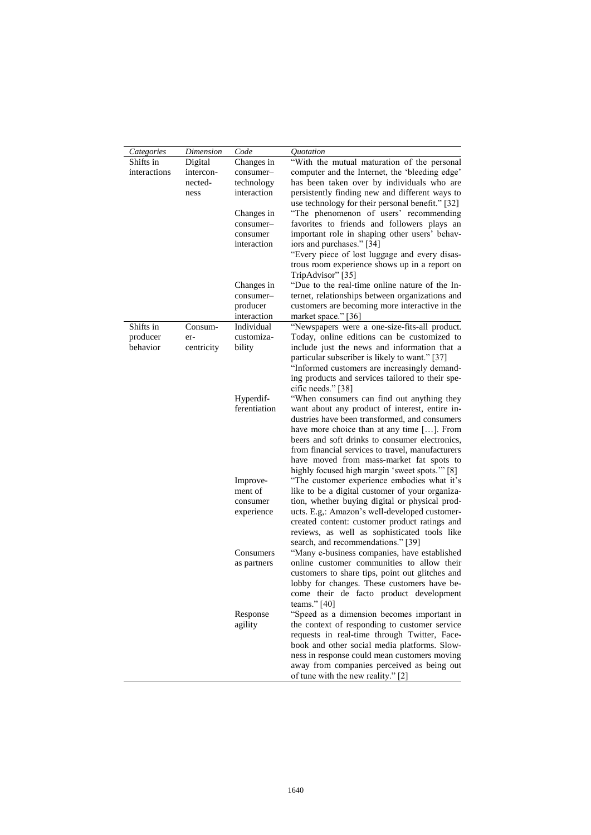| Categories   | Dimension  | Code         | Quotation                                                                                     |
|--------------|------------|--------------|-----------------------------------------------------------------------------------------------|
| Shifts in    | Digital    | Changes in   | "With the mutual maturation of the personal                                                   |
| interactions | intercon-  | consumer-    | computer and the Internet, the 'bleeding edge'                                                |
|              | nected-    | technology   | has been taken over by individuals who are                                                    |
|              | ness       | interaction  | persistently finding new and different ways to                                                |
|              |            |              | use technology for their personal benefit." [32]                                              |
|              |            | Changes in   | "The phenomenon of users' recommending                                                        |
|              |            | consumer-    | favorites to friends and followers plays an                                                   |
|              |            | consumer     | important role in shaping other users' behav-                                                 |
|              |            | interaction  | iors and purchases." [34]                                                                     |
|              |            |              | "Every piece of lost luggage and every disas-                                                 |
|              |            |              | trous room experience shows up in a report on<br>TripAdvisor" [35]                            |
|              |            | Changes in   | "Due to the real-time online nature of the In-                                                |
|              |            | consumer-    | ternet, relationships between organizations and                                               |
|              |            | producer     | customers are becoming more interactive in the                                                |
|              |            | interaction  | market space." [36]                                                                           |
| Shifts in    | Consum-    | Individual   | "Newspapers were a one-size-fits-all product.                                                 |
| producer     | er-        | customiza-   | Today, online editions can be customized to                                                   |
| behavior     | centricity | bility       | include just the news and information that a                                                  |
|              |            |              | particular subscriber is likely to want." [37]                                                |
|              |            |              | "Informed customers are increasingly demand-                                                  |
|              |            |              | ing products and services tailored to their spe-                                              |
|              |            |              | cific needs." [38]                                                                            |
|              |            | Hyperdif-    | "When consumers can find out anything they                                                    |
|              |            | ferentiation | want about any product of interest, entire in-                                                |
|              |            |              | dustries have been transformed, and consumers                                                 |
|              |            |              | have more choice than at any time []. From                                                    |
|              |            |              | beers and soft drinks to consumer electronics,                                                |
|              |            |              | from financial services to travel, manufacturers                                              |
|              |            |              | have moved from mass-market fat spots to                                                      |
|              |            | Improve-     | highly focused high margin 'sweet spots."" [8]<br>"The customer experience embodies what it's |
|              |            | ment of      | like to be a digital customer of your organiza-                                               |
|              |            | consumer     | tion, whether buying digital or physical prod-                                                |
|              |            | experience   | ucts. E.g,: Amazon's well-developed customer-                                                 |
|              |            |              | created content: customer product ratings and                                                 |
|              |            |              | reviews, as well as sophisticated tools like                                                  |
|              |            |              | search, and recommendations." [39]                                                            |
|              |            | Consumers    | "Many e-business companies, have established                                                  |
|              |            | as partners  | online customer communities to allow their                                                    |
|              |            |              | customers to share tips, point out glitches and                                               |
|              |            |              | lobby for changes. These customers have be-                                                   |
|              |            |              | come their de facto product development                                                       |
|              |            |              | teams." $[40]$                                                                                |
|              |            | Response     | "Speed as a dimension becomes important in                                                    |
|              |            | agility      | the context of responding to customer service                                                 |
|              |            |              | requests in real-time through Twitter, Face-                                                  |
|              |            |              | book and other social media platforms. Slow-                                                  |
|              |            |              | ness in response could mean customers moving                                                  |
|              |            |              | away from companies perceived as being out                                                    |
|              |            |              | of tune with the new reality." [2]                                                            |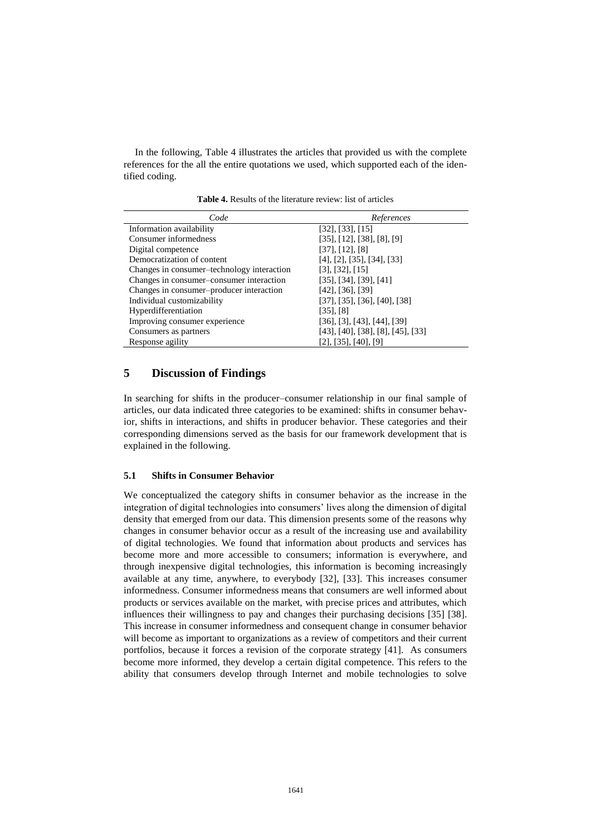In the following, Table 4 illustrates the articles that provided us with the complete references for the all the entire quotations we used, which supported each of the identified coding.

| Code                                       | References                               |
|--------------------------------------------|------------------------------------------|
| Information availability                   | [32], [33], [15]                         |
| Consumer informedness                      | [35], [12], [38], [8], [9]               |
| Digital competence                         | [37], [12], [8]                          |
| Democratization of content                 | $[4]$ , $[2]$ , $[35]$ , $[34]$ , $[33]$ |
| Changes in consumer-technology interaction | [3], [32], [15]                          |
| Changes in consumer-consumer interaction   | [35], [34], [39], [41]                   |
| Changes in consumer-producer interaction   | $[42]$ , $[36]$ , $[39]$                 |
| Individual customizability                 | [37], [35], [36], [40], [38]             |
| Hyperdifferentiation                       | $[35]$ , $[8]$                           |
| Improving consumer experience              | $[36]$ , [3], [43], [44], [39]           |
| Consumers as partners                      | $[43]$ , [40], [38], [8], [45], [33]     |
| Response agility                           | $[2]$ , [35], [40], [9]                  |

**Table 4.** Results of the literature review: list of articles

#### **5 Discussion of Findings**

In searching for shifts in the producer–consumer relationship in our final sample of articles, our data indicated three categories to be examined: shifts in consumer behavior, shifts in interactions, and shifts in producer behavior. These categories and their corresponding dimensions served as the basis for our framework development that is explained in the following.

#### **5.1 Shifts in Consumer Behavior**

We conceptualized the category shifts in consumer behavior as the increase in the integration of digital technologies into consumers' lives along the dimension of digital density that emerged from our data. This dimension presents some of the reasons why changes in consumer behavior occur as a result of the increasing use and availability of digital technologies. We found that information about products and services has become more and more accessible to consumers; information is everywhere, and through inexpensive digital technologies, this information is becoming increasingly available at any time, anywhere, to everybody [32], [33]. This increases consumer informedness. Consumer informedness means that consumers are well informed about products or services available on the market, with precise prices and attributes, which influences their willingness to pay and changes their purchasing decisions [35] [38]. This increase in consumer informedness and consequent change in consumer behavior will become as important to organizations as a review of competitors and their current portfolios, because it forces a revision of the corporate strategy [41]. As consumers become more informed, they develop a certain digital competence. This refers to the ability that consumers develop through Internet and mobile technologies to solve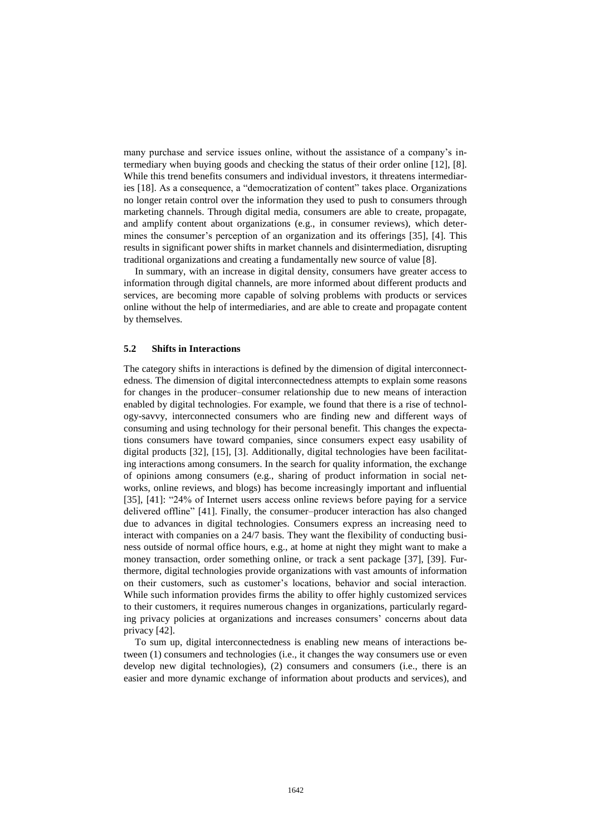many purchase and service issues online, without the assistance of a company's intermediary when buying goods and checking the status of their order online [12], [8]. While this trend benefits consumers and individual investors, it threatens intermediaries [18]. As a consequence, a "democratization of content" takes place. Organizations no longer retain control over the information they used to push to consumers through marketing channels. Through digital media, consumers are able to create, propagate, and amplify content about organizations (e.g., in consumer reviews), which determines the consumer's perception of an organization and its offerings [35], [4]. This results in significant power shifts in market channels and disintermediation, disrupting traditional organizations and creating a fundamentally new source of value [8].

In summary, with an increase in digital density, consumers have greater access to information through digital channels, are more informed about different products and services, are becoming more capable of solving problems with products or services online without the help of intermediaries, and are able to create and propagate content by themselves.

#### **5.2 Shifts in Interactions**

The category shifts in interactions is defined by the dimension of digital interconnectedness. The dimension of digital interconnectedness attempts to explain some reasons for changes in the producer–consumer relationship due to new means of interaction enabled by digital technologies. For example, we found that there is a rise of technology-savvy, interconnected consumers who are finding new and different ways of consuming and using technology for their personal benefit. This changes the expectations consumers have toward companies, since consumers expect easy usability of digital products [32], [15], [3]. Additionally, digital technologies have been facilitating interactions among consumers. In the search for quality information, the exchange of opinions among consumers (e.g., sharing of product information in social networks, online reviews, and blogs) has become increasingly important and influential [35], [41]: "24% of Internet users access online reviews before paying for a service delivered offline" [41]. Finally, the consumer–producer interaction has also changed due to advances in digital technologies. Consumers express an increasing need to interact with companies on a 24/7 basis. They want the flexibility of conducting business outside of normal office hours, e.g., at home at night they might want to make a money transaction, order something online, or track a sent package [37], [39]. Furthermore, digital technologies provide organizations with vast amounts of information on their customers, such as customer's locations, behavior and social interaction. While such information provides firms the ability to offer highly customized services to their customers, it requires numerous changes in organizations, particularly regarding privacy policies at organizations and increases consumers' concerns about data privacy [42].

To sum up, digital interconnectedness is enabling new means of interactions between (1) consumers and technologies (i.e., it changes the way consumers use or even develop new digital technologies), (2) consumers and consumers (i.e., there is an easier and more dynamic exchange of information about products and services), and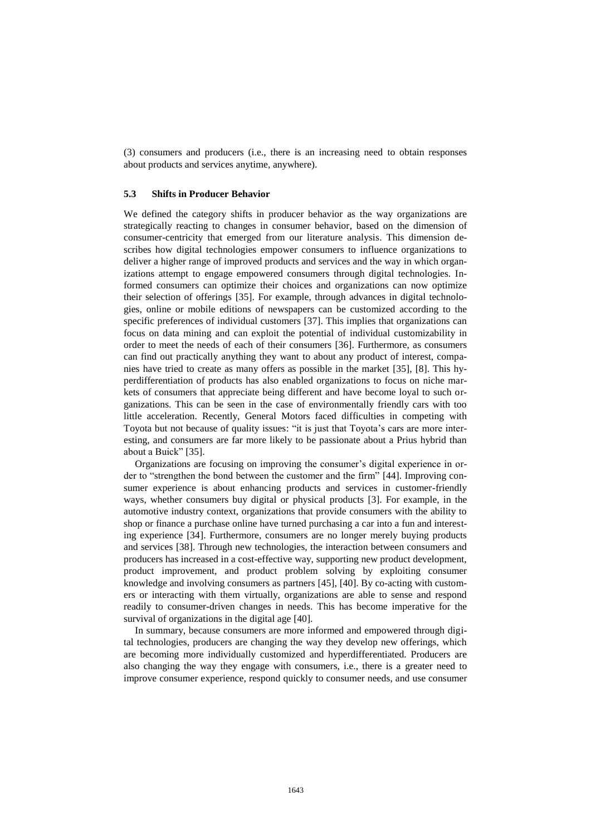(3) consumers and producers (i.e., there is an increasing need to obtain responses about products and services anytime, anywhere).

#### **5.3 Shifts in Producer Behavior**

We defined the category shifts in producer behavior as the way organizations are strategically reacting to changes in consumer behavior, based on the dimension of consumer-centricity that emerged from our literature analysis. This dimension describes how digital technologies empower consumers to influence organizations to deliver a higher range of improved products and services and the way in which organizations attempt to engage empowered consumers through digital technologies. Informed consumers can optimize their choices and organizations can now optimize their selection of offerings [35]. For example, through advances in digital technologies, online or mobile editions of newspapers can be customized according to the specific preferences of individual customers [37]. This implies that organizations can focus on data mining and can exploit the potential of individual customizability in order to meet the needs of each of their consumers [36]. Furthermore, as consumers can find out practically anything they want to about any product of interest, companies have tried to create as many offers as possible in the market [35], [8]. This hyperdifferentiation of products has also enabled organizations to focus on niche markets of consumers that appreciate being different and have become loyal to such organizations. This can be seen in the case of environmentally friendly cars with too little acceleration. Recently, General Motors faced difficulties in competing with Toyota but not because of quality issues: "it is just that Toyota's cars are more interesting, and consumers are far more likely to be passionate about a Prius hybrid than about a Buick" [35].

Organizations are focusing on improving the consumer's digital experience in order to "strengthen the bond between the customer and the firm" [44]. Improving consumer experience is about enhancing products and services in customer-friendly ways, whether consumers buy digital or physical products [3]. For example, in the automotive industry context, organizations that provide consumers with the ability to shop or finance a purchase online have turned purchasing a car into a fun and interesting experience [34]. Furthermore, consumers are no longer merely buying products and services [38]. Through new technologies, the interaction between consumers and producers has increased in a cost-effective way, supporting new product development, product improvement, and product problem solving by exploiting consumer knowledge and involving consumers as partners [45], [40]. By co-acting with customers or interacting with them virtually, organizations are able to sense and respond readily to consumer-driven changes in needs. This has become imperative for the survival of organizations in the digital age [40].

In summary, because consumers are more informed and empowered through digital technologies, producers are changing the way they develop new offerings, which are becoming more individually customized and hyperdifferentiated. Producers are also changing the way they engage with consumers, i.e., there is a greater need to improve consumer experience, respond quickly to consumer needs, and use consumer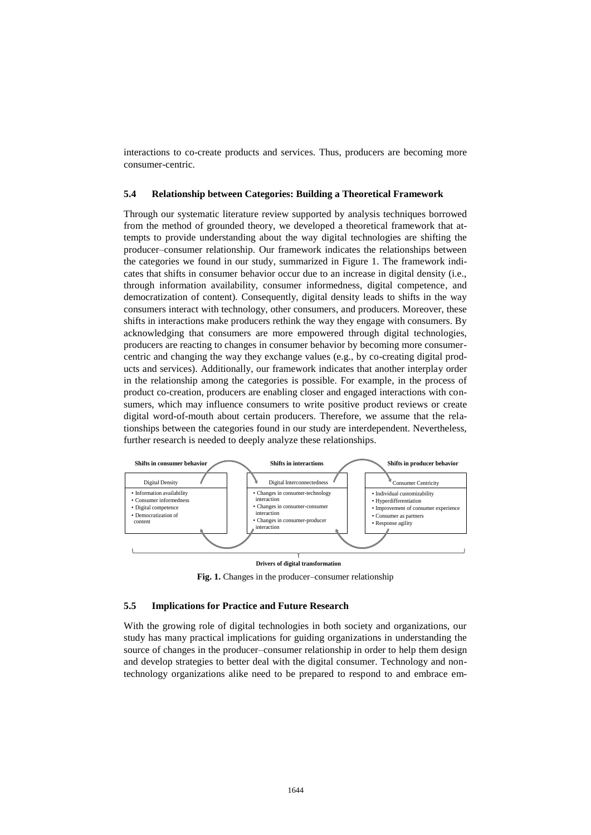interactions to co-create products and services. Thus, producers are becoming more consumer-centric.

#### **5.4 Relationship between Categories: Building a Theoretical Framework**

Through our systematic literature review supported by analysis techniques borrowed from the method of grounded theory, we developed a theoretical framework that attempts to provide understanding about the way digital technologies are shifting the producer–consumer relationship. Our framework indicates the relationships between the categories we found in our study, summarized in Figure 1. The framework indicates that shifts in consumer behavior occur due to an increase in digital density (i.e., through information availability, consumer informedness, digital competence, and democratization of content). Consequently, digital density leads to shifts in the way consumers interact with technology, other consumers, and producers. Moreover, these shifts in interactions make producers rethink the way they engage with consumers. By acknowledging that consumers are more empowered through digital technologies, producers are reacting to changes in consumer behavior by becoming more consumercentric and changing the way they exchange values (e.g., by co-creating digital products and services). Additionally, our framework indicates that another interplay order in the relationship among the categories is possible. For example, in the process of product co-creation, producers are enabling closer and engaged interactions with consumers, which may influence consumers to write positive product reviews or create digital word-of-mouth about certain producers. Therefore, we assume that the relationships between the categories found in our study are interdependent. Nevertheless, further research is needed to deeply analyze these relationships.



#### **Drivers of digital transformation**

**Fig. 1.** Changes in the producer–consumer relationship

#### **5.5 Implications for Practice and Future Research**

With the growing role of digital technologies in both society and organizations, our study has many practical implications for guiding organizations in understanding the source of changes in the producer–consumer relationship in order to help them design and develop strategies to better deal with the digital consumer. Technology and nontechnology organizations alike need to be prepared to respond to and embrace em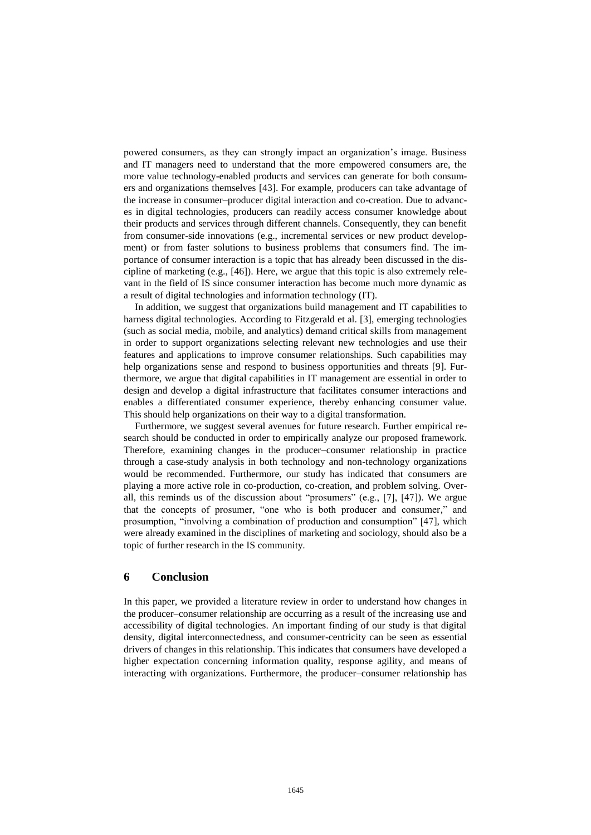powered consumers, as they can strongly impact an organization's image. Business and IT managers need to understand that the more empowered consumers are, the more value technology-enabled products and services can generate for both consumers and organizations themselves [43]. For example, producers can take advantage of the increase in consumer–producer digital interaction and co-creation. Due to advances in digital technologies, producers can readily access consumer knowledge about their products and services through different channels. Consequently, they can benefit from consumer-side innovations (e.g., incremental services or new product development) or from faster solutions to business problems that consumers find. The importance of consumer interaction is a topic that has already been discussed in the discipline of marketing (e.g., [46]). Here, we argue that this topic is also extremely relevant in the field of IS since consumer interaction has become much more dynamic as a result of digital technologies and information technology (IT).

In addition, we suggest that organizations build management and IT capabilities to harness digital technologies. According to Fitzgerald et al. [3], emerging technologies (such as social media, mobile, and analytics) demand critical skills from management in order to support organizations selecting relevant new technologies and use their features and applications to improve consumer relationships. Such capabilities may help organizations sense and respond to business opportunities and threats [9]. Furthermore, we argue that digital capabilities in IT management are essential in order to design and develop a digital infrastructure that facilitates consumer interactions and enables a differentiated consumer experience, thereby enhancing consumer value. This should help organizations on their way to a digital transformation.

Furthermore, we suggest several avenues for future research. Further empirical research should be conducted in order to empirically analyze our proposed framework. Therefore, examining changes in the producer–consumer relationship in practice through a case-study analysis in both technology and non-technology organizations would be recommended. Furthermore, our study has indicated that consumers are playing a more active role in co-production, co-creation, and problem solving. Overall, this reminds us of the discussion about "prosumers" (e.g., [7], [47]). We argue that the concepts of prosumer, "one who is both producer and consumer," and prosumption, "involving a combination of production and consumption" [47], which were already examined in the disciplines of marketing and sociology, should also be a topic of further research in the IS community.

#### **6 Conclusion**

In this paper, we provided a literature review in order to understand how changes in the producer–consumer relationship are occurring as a result of the increasing use and accessibility of digital technologies. An important finding of our study is that digital density, digital interconnectedness, and consumer-centricity can be seen as essential drivers of changes in this relationship. This indicates that consumers have developed a higher expectation concerning information quality, response agility, and means of interacting with organizations. Furthermore, the producer–consumer relationship has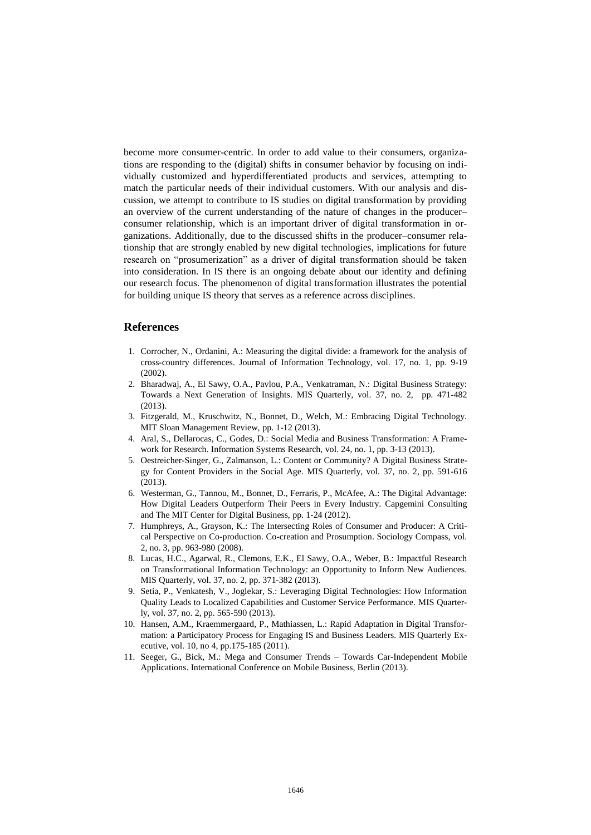become more consumer-centric. In order to add value to their consumers, organizations are responding to the (digital) shifts in consumer behavior by focusing on individually customized and hyperdifferentiated products and services, attempting to match the particular needs of their individual customers. With our analysis and discussion, we attempt to contribute to IS studies on digital transformation by providing an overview of the current understanding of the nature of changes in the producer– consumer relationship, which is an important driver of digital transformation in organizations. Additionally, due to the discussed shifts in the producer–consumer relationship that are strongly enabled by new digital technologies, implications for future research on "prosumerization" as a driver of digital transformation should be taken into consideration. In IS there is an ongoing debate about our identity and defining our research focus. The phenomenon of digital transformation illustrates the potential for building unique IS theory that serves as a reference across disciplines.

#### **References**

- 1. Corrocher, N., Ordanini, A.: Measuring the digital divide: a framework for the analysis of cross-country differences. Journal of Information Technology, vol. 17, no. 1, pp. 9-19 (2002).
- 2. Bharadwaj, A., El Sawy, O.A., Pavlou, P.A., Venkatraman, N.: Digital Business Strategy: Towards a Next Generation of Insights. MIS Quarterly, vol. 37, no. 2, pp. 471-482 (2013).
- 3. Fitzgerald, M., Kruschwitz, N., Bonnet, D., Welch, M.: Embracing Digital Technology. MIT Sloan Management Review, pp. 1-12 (2013).
- 4. Aral, S., Dellarocas, C., Godes, D.: Social Media and Business Transformation: A Framework for Research. Information Systems Research, vol. 24, no. 1, pp. 3-13 (2013).
- 5. Oestreicher-Singer, G., Zalmanson, L.: Content or Community? A Digital Business Strategy for Content Providers in the Social Age. MIS Quarterly, vol. 37, no. 2, pp. 591-616 (2013).
- 6. Westerman, G., Tannou, M., Bonnet, D., Ferraris, P., McAfee, A.: The Digital Advantage: How Digital Leaders Outperform Their Peers in Every Industry. Capgemini Consulting and The MIT Center for Digital Business, pp. 1-24 (2012).
- 7. Humphreys, A., Grayson, K.: The Intersecting Roles of Consumer and Producer: A Critical Perspective on Co-production. Co-creation and Prosumption. Sociology Compass, vol. 2, no. 3, pp. 963-980 (2008).
- 8. Lucas, H.C., Agarwal, R., Clemons, E.K., El Sawy, O.A., Weber, B.: Impactful Research on Transformational Information Technology: an Opportunity to Inform New Audiences. MIS Quarterly, vol. 37, no. 2, pp. 371-382 (2013).
- 9. Setia, P., Venkatesh, V., Joglekar, S.: Leveraging Digital Technologies: How Information Quality Leads to Localized Capabilities and Customer Service Performance. MIS Quarterly, vol. 37, no. 2, pp. 565-590 (2013).
- 10. Hansen, A.M., Kraemmergaard, P., Mathiassen, L.: Rapid Adaptation in Digital Transformation: a Participatory Process for Engaging IS and Business Leaders. MIS Quarterly Executive, vol. 10, no 4, pp.175-185 (2011).
- 11. Seeger, G., Bick, M.: Mega and Consumer Trends Towards Car-Independent Mobile Applications. International Conference on Mobile Business, Berlin (2013).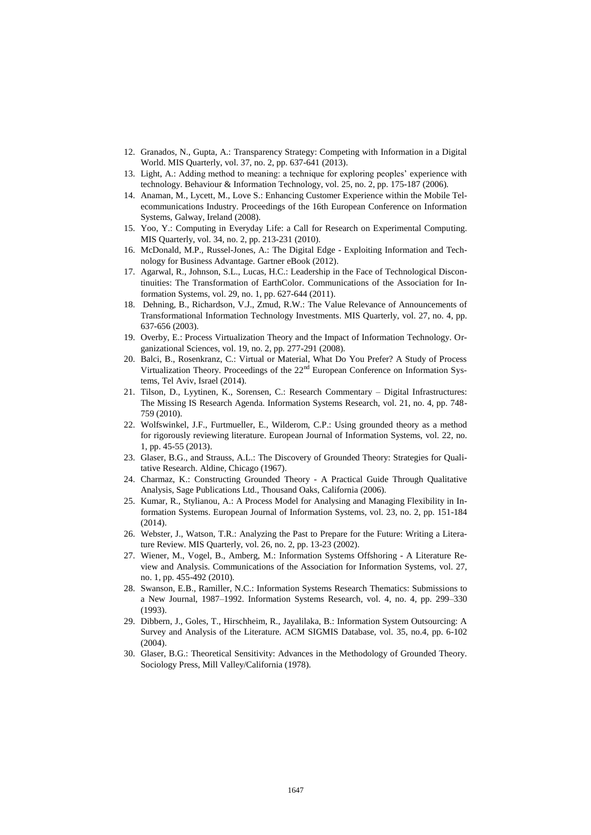- 12. Granados, N., Gupta, A.: Transparency Strategy: Competing with Information in a Digital World. MIS Quarterly, vol. 37, no. 2, pp. 637-641 (2013).
- 13. Light, A.: Adding method to meaning: a technique for exploring peoples' experience with technology. Behaviour & Information Technology, vol. 25, no. 2, pp. 175-187 (2006).
- 14. Anaman, M., Lycett, M., Love S.: Enhancing Customer Experience within the Mobile Telecommunications Industry. Proceedings of the 16th European Conference on Information Systems, Galway, Ireland (2008).
- 15. Yoo, Y.: Computing in Everyday Life: a Call for Research on Experimental Computing. MIS Quarterly, vol. 34, no. 2, pp. 213-231 (2010).
- 16. McDonald, M.P., Russel-Jones, A.: The Digital Edge Exploiting Information and Technology for Business Advantage. Gartner eBook (2012).
- 17. Agarwal, R., Johnson, S.L., Lucas, H.C.: Leadership in the Face of Technological Discontinuities: The Transformation of EarthColor. Communications of the Association for Information Systems, vol. 29, no. 1, pp. 627-644 (2011).
- 18. Dehning, B., Richardson, V.J., Zmud, R.W.: The Value Relevance of Announcements of Transformational Information Technology Investments. MIS Quarterly, vol. 27, no. 4, pp. 637-656 (2003).
- 19. Overby, E.: Process Virtualization Theory and the Impact of Information Technology. Organizational Sciences, vol. 19, no. 2, pp. 277-291 (2008).
- 20. Balci, B., Rosenkranz, C.: Virtual or Material, What Do You Prefer? A Study of Process Virtualization Theory. Proceedings of the  $22<sup>nd</sup>$  European Conference on Information Systems, Tel Aviv, Israel (2014).
- 21. Tilson, D., Lyytinen, K., Sorensen, C.: Research Commentary Digital Infrastructures: The Missing IS Research Agenda. Information Systems Research, vol. 21, no. 4, pp. 748- 759 (2010).
- 22. Wolfswinkel, J.F., Furtmueller, E., Wilderom, C.P.: Using grounded theory as a method for rigorously reviewing literature. European Journal of Information Systems, vol. 22, no. 1, pp. 45-55 (2013).
- 23. Glaser, B.G., and Strauss, A.L.: The Discovery of Grounded Theory: Strategies for Qualitative Research. Aldine, Chicago (1967).
- 24. Charmaz, K.: Constructing Grounded Theory A Practical Guide Through Qualitative Analysis, Sage Publications Ltd., Thousand Oaks, California (2006).
- 25. Kumar, R., Stylianou, A.: A Process Model for Analysing and Managing Flexibility in Information Systems. European Journal of Information Systems, vol. 23, no. 2, pp. 151-184  $(2014)$ .
- 26. Webster, J., Watson, T.R.: Analyzing the Past to Prepare for the Future: Writing a Literature Review. MIS Quarterly, vol. 26, no. 2, pp. 13-23 (2002).
- 27. Wiener, M., Vogel, B., Amberg, M.: Information Systems Offshoring A Literature Review and Analysis. Communications of the Association for Information Systems, vol. 27, no. 1, pp. 455-492 (2010).
- 28. Swanson, E.B., Ramiller, N.C.: Information Systems Research Thematics: Submissions to a New Journal, 1987–1992. Information Systems Research, vol. 4, no. 4, pp. 299–330 (1993).
- 29. Dibbern, J., Goles, T., Hirschheim, R., Jayalilaka, B.: Information System Outsourcing: A Survey and Analysis of the Literature. ACM SIGMIS Database, vol. 35, no.4, pp. 6-102 (2004).
- 30. Glaser, B.G.: Theoretical Sensitivity: Advances in the Methodology of Grounded Theory. Sociology Press, Mill Valley/California (1978).